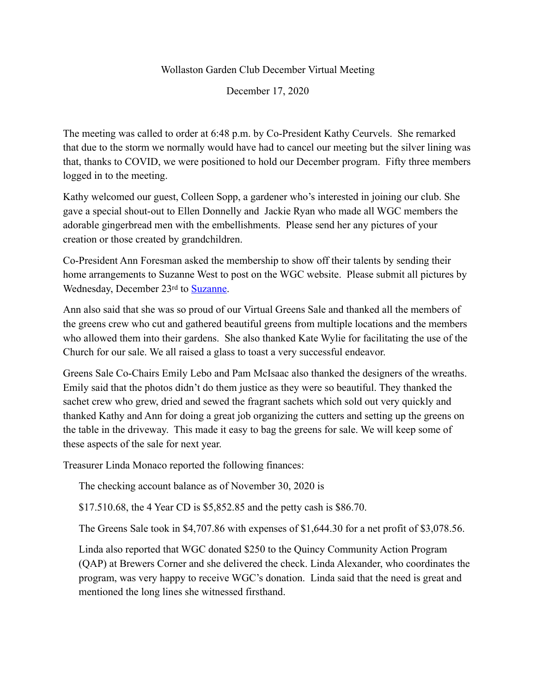## Wollaston Garden Club December Virtual Meeting

December 17, 2020

The meeting was called to order at 6:48 p.m. by Co-President Kathy Ceurvels. She remarked that due to the storm we normally would have had to cancel our meeting but the silver lining was that, thanks to COVID, we were positioned to hold our December program. Fifty three members logged in to the meeting.

Kathy welcomed our guest, Colleen Sopp, a gardener who's interested in joining our club. She gave a special shout-out to Ellen Donnelly and Jackie Ryan who made all WGC members the adorable gingerbread men with the embellishments. Please send her any pictures of your creation or those created by grandchildren.

Co-President Ann Foresman asked the membership to show off their talents by sending their home arrangements to Suzanne West to post on the WGC website. Please submit all pictures by Wednesday, December 23rd to [Suzanne](mailto:Suzanne%2520West%2520%253Csuzanne.west@icloud.com%253E).

Ann also said that she was so proud of our Virtual Greens Sale and thanked all the members of the greens crew who cut and gathered beautiful greens from multiple locations and the members who allowed them into their gardens. She also thanked Kate Wylie for facilitating the use of the Church for our sale. We all raised a glass to toast a very successful endeavor.

Greens Sale Co-Chairs Emily Lebo and Pam McIsaac also thanked the designers of the wreaths. Emily said that the photos didn't do them justice as they were so beautiful. They thanked the sachet crew who grew, dried and sewed the fragrant sachets which sold out very quickly and thanked Kathy and Ann for doing a great job organizing the cutters and setting up the greens on the table in the driveway. This made it easy to bag the greens for sale. We will keep some of these aspects of the sale for next year.

Treasurer Linda Monaco reported the following finances:

The checking account balance as of November 30, 2020 is

\$17.510.68, the 4 Year CD is \$5,852.85 and the petty cash is \$86.70.

The Greens Sale took in \$4,707.86 with expenses of \$1,644.30 for a net profit of \$3,078.56.

Linda also reported that WGC donated \$250 to the Quincy Community Action Program (QAP) at Brewers Corner and she delivered the check. Linda Alexander, who coordinates the program, was very happy to receive WGC's donation. Linda said that the need is great and mentioned the long lines she witnessed firsthand.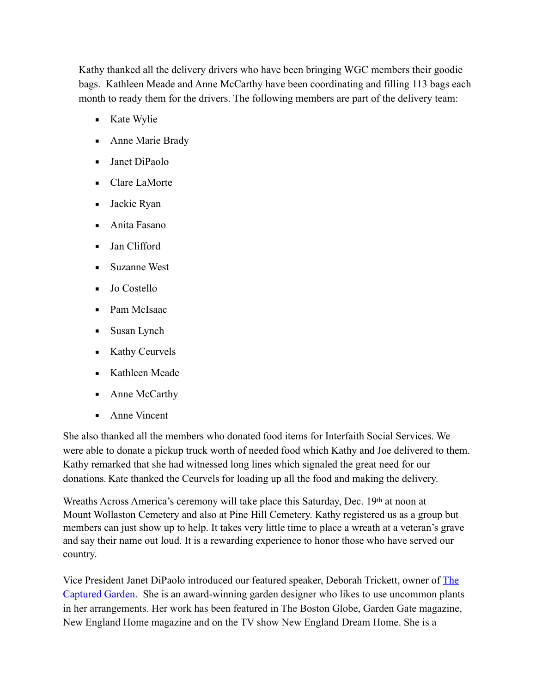Kathy thanked all the delivery drivers who have been bringing WGC members their goodie bags. Kathleen Meade and Anne McCarthy have been coordinating and filling 113 bags each month to ready them for the drivers. The following members are part of the delivery team:

- Kate Wylie
- Anne Marie Brady
- Janet DiPaolo
- Clare LaMorte
- Jackie Ryan
- $\blacksquare$  Anita Fasano
- Jan Clifford
- Suzanne West
- Jo Costello
- Pam McIsaac
- Susan Lynch
- Kathy Ceurvels
- Kathleen Meade
- Anne McCarthy
- Anne Vincent

She also thanked all the members who donated food items for Interfaith Social Services. We were able to donate a pickup truck worth of needed food which Kathy and Joe delivered to them. Kathy remarked that she had witnessed long lines which signaled the great need for our donations. Kate thanked the Ceurvels for loading up all the food and making the delivery.

Wreaths Across America's ceremony will take place this Saturday, Dec. 19th at noon at Mount Wollaston Cemetery and also at Pine Hill Cemetery. Kathy registered us as a group but members can just show up to help. It takes very little time to place a wreath at a veteran's grave and say their name out loud. It is a rewarding experience to honor those who have served our country.

Vice President Janet DiPaolo introduced our featured speaker, Deborah Trickett, owner of [The](https://thecapturedgarden.com/)  [Captured Garden](https://thecapturedgarden.com/). She is an award-winning garden designer who likes to use uncommon plants in her arrangements. Her work has been featured in The Boston Globe, Garden Gate magazine, New England Home magazine and on the TV show New England Dream Home. She is a